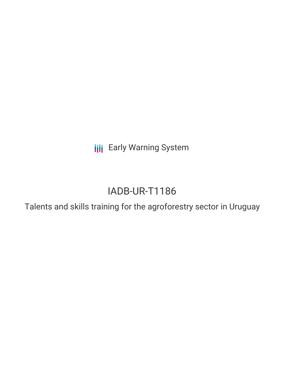**III** Early Warning System

# IADB-UR-T1186

Talents and skills training for the agroforestry sector in Uruguay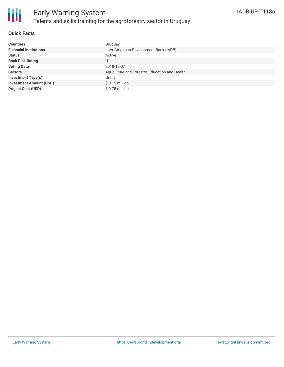

### **Quick Facts**

| <b>Countries</b>               | Uruguay                                        |
|--------------------------------|------------------------------------------------|
| <b>Financial Institutions</b>  | Inter-American Development Bank (IADB)         |
| <b>Status</b>                  | Active                                         |
| <b>Bank Risk Rating</b>        | U                                              |
| <b>Voting Date</b>             | 2018-12-07                                     |
| <b>Sectors</b>                 | Agriculture and Forestry, Education and Health |
| <b>Investment Type(s)</b>      | Grant                                          |
| <b>Investment Amount (USD)</b> | $$0.15$ million                                |
| <b>Project Cost (USD)</b>      | \$0.75 million                                 |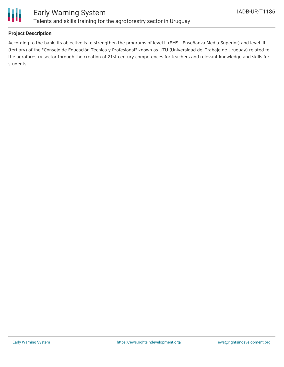

## **Project Description**

According to the bank, its objective is to strengthen the programs of level II (EMS - Enseñanza Media Superior) and level III (tertiary) of the "Consejo de Educación Técnica y Profesional" known as UTU (Universidad del Trabajo de Uruguay) related to the agroforestry sector through the creation of 21st century competences for teachers and relevant knowledge and skills for students.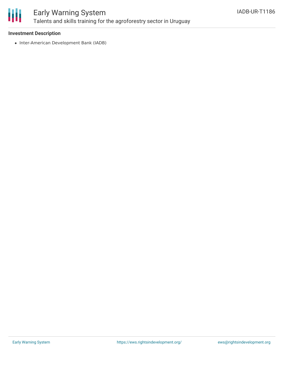

# Early Warning System Talents and skills training for the agroforestry sector in Uruguay

### **Investment Description**

• Inter-American Development Bank (IADB)